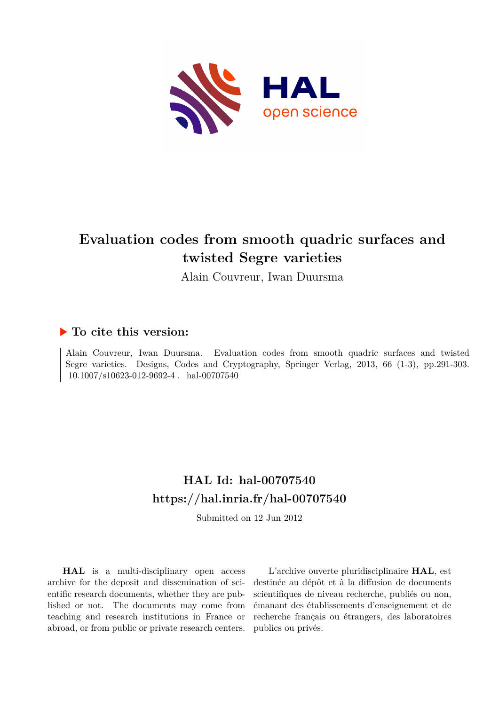

# **Evaluation codes from smooth quadric surfaces and twisted Segre varieties**

Alain Couvreur, Iwan Duursma

## **To cite this version:**

Alain Couvreur, Iwan Duursma. Evaluation codes from smooth quadric surfaces and twisted Segre varieties. Designs, Codes and Cryptography, Springer Verlag, 2013, 66 (1-3), pp.291-303.  $10.1007/s10623-012-9692-4$ . hal-00707540

# **HAL Id: hal-00707540 <https://hal.inria.fr/hal-00707540>**

Submitted on 12 Jun 2012

**HAL** is a multi-disciplinary open access archive for the deposit and dissemination of scientific research documents, whether they are published or not. The documents may come from teaching and research institutions in France or abroad, or from public or private research centers.

L'archive ouverte pluridisciplinaire **HAL**, est destinée au dépôt et à la diffusion de documents scientifiques de niveau recherche, publiés ou non, émanant des établissements d'enseignement et de recherche français ou étrangers, des laboratoires publics ou privés.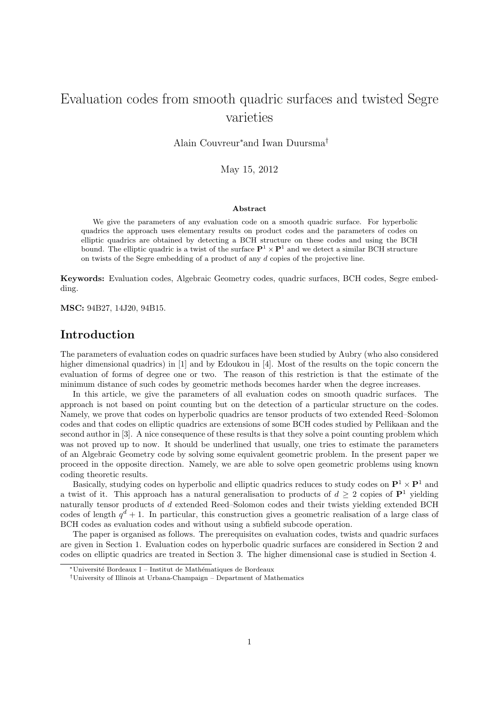## Evaluation codes from smooth quadric surfaces and twisted Segre varieties

Alain Couvreur<sup>∗</sup>and Iwan Duursma†

May 15, 2012

#### Abstract

We give the parameters of any evaluation code on a smooth quadric surface. For hyperbolic quadrics the approach uses elementary results on product codes and the parameters of codes on elliptic quadrics are obtained by detecting a BCH structure on these codes and using the BCH bound. The elliptic quadric is a twist of the surface  $\mathbf{P}^1 \times \mathbf{P}^1$  and we detect a similar BCH structure on twists of the Segre embedding of a product of any d copies of the projective line.

Keywords: Evaluation codes, Algebraic Geometry codes, quadric surfaces, BCH codes, Segre embedding.

MSC: 94B27, 14J20, 94B15.

## Introduction

The parameters of evaluation codes on quadric surfaces have been studied by Aubry (who also considered higher dimensional quadrics) in [1] and by Edoukou in [4]. Most of the results on the topic concern the evaluation of forms of degree one or two. The reason of this restriction is that the estimate of the minimum distance of such codes by geometric methods becomes harder when the degree increases.

In this article, we give the parameters of all evaluation codes on smooth quadric surfaces. The approach is not based on point counting but on the detection of a particular structure on the codes. Namely, we prove that codes on hyperbolic quadrics are tensor products of two extended Reed–Solomon codes and that codes on elliptic quadrics are extensions of some BCH codes studied by Pellikaan and the second author in [3]. A nice consequence of these results is that they solve a point counting problem which was not proved up to now. It should be underlined that usually, one tries to estimate the parameters of an Algebraic Geometry code by solving some equivalent geometric problem. In the present paper we proceed in the opposite direction. Namely, we are able to solve open geometric problems using known coding theoretic results.

Basically, studying codes on hyperbolic and elliptic quadrics reduces to study codes on  $\mathbf{P}^1 \times \mathbf{P}^1$  and a twist of it. This approach has a natural generalisation to products of  $d \geq 2$  copies of  $\mathbf{P}^1$  yielding naturally tensor products of d extended Reed–Solomon codes and their twists yielding extended BCH codes of length  $q^d + 1$ . In particular, this construction gives a geometric realisation of a large class of BCH codes as evaluation codes and without using a subfield subcode operation.

The paper is organised as follows. The prerequisites on evaluation codes, twists and quadric surfaces are given in Section 1. Evaluation codes on hyperbolic quadric surfaces are considered in Section 2 and codes on elliptic quadrics are treated in Section 3. The higher dimensional case is studied in Section 4.

<sup>∗</sup>Universit´e Bordeaux I – Institut de Math´ematiques de Bordeaux

<sup>†</sup>University of Illinois at Urbana-Champaign – Department of Mathematics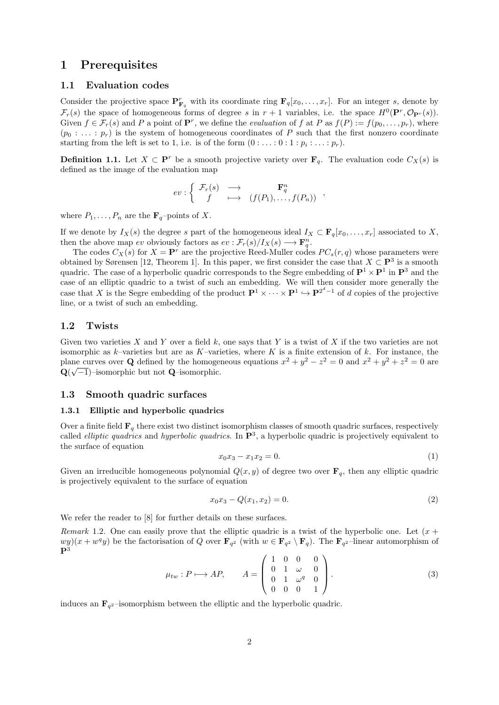## 1 Prerequisites

## 1.1 Evaluation codes

Consider the projective space  $\mathbf{P}_{\mathbf{F}_q}^r$  with its coordinate ring  $\mathbf{F}_q[x_0,\ldots,x_r]$ . For an integer s, denote by  $\mathcal{F}_r(s)$  the space of homogeneous forms of degree s in  $r+1$  variables, i.e. the space  $H^0(\mathbf{P}^r, \mathcal{O}_{\mathbf{P}^r}(s))$ . Given  $f \in \mathcal{F}_r(s)$  and P a point of  $\mathbf{P}^r$ , we define the *evaluation* of f at P as  $f(P) := f(p_0, \ldots, p_r)$ , where  $(p_0 : \ldots : p_r)$  is the system of homogeneous coordinates of P such that the first nonzero coordinate starting from the left is set to 1, i.e. is of the form  $(0: \ldots: 0:1: p_i: \ldots: p_r)$ .

**Definition 1.1.** Let  $X \subset \mathbf{P}^r$  be a smooth projective variety over  $\mathbf{F}_q$ . The evaluation code  $C_X(s)$  is defined as the image of the evaluation map

$$
ev: \left\{ \begin{array}{ccc} \mathcal{F}_r(s) & \longrightarrow & \mathbf{F}_q^n \\ f & \longmapsto & (f(P_1), \dots, f(P_n)) \end{array} \right.,
$$

where  $P_1, \ldots, P_n$  are the  $\mathbf{F}_q$ -points of X.

If we denote by  $I_X(s)$  the degree s part of the homogeneous ideal  $I_X \subset \mathbf{F}_q[x_0, \ldots, x_r]$  associated to X, then the above map ev obviously factors as  $ev : \mathcal{F}_r(s)/I_X(s) \longrightarrow \mathbf{F}_q^n$ .

The codes  $C_X(s)$  for  $X = \mathbf{P}^r$  are the projective Reed-Muller codes  $PC_s(r, q)$  whose parameters were obtained by Sørensen [12, Theorem 1]. In this paper, we first consider the case that  $X \subset \mathbf{P}^3$  is a smooth quadric. The case of a hyperbolic quadric corresponds to the Segre embedding of  $\mathbf{P}^1 \times \mathbf{P}^1$  in  $\mathbf{P}^3$  and the case of an elliptic quadric to a twist of such an embedding. We will then consider more generally the case that X is the Segre embedding of the product  $\mathbf{P}^1 \times \cdots \times \mathbf{P}^1 \hookrightarrow \mathbf{P}^{2^d-1}$  of d copies of the projective line, or a twist of such an embedding.

## 1.2 Twists

Given two varieties X and Y over a field k, one says that Y is a twist of X if the two varieties are not isomorphic as  $k$ –varieties but are as  $K$ –varieties, where K is a finite extension of k. For instance, the plane curves over Q defined by the homogeneous equations  $x^2 + y^2 - z^2 = 0$  and  $x^2 + y^2 + z^2 = 0$  are  $\mathbf{Q}(\sqrt{-1})$ –isomorphic but not  $\mathbf{Q}$ –isomorphic.

### 1.3 Smooth quadric surfaces

#### 1.3.1 Elliptic and hyperbolic quadrics

Over a finite field  $\mathbf{F}_q$  there exist two distinct isomorphism classes of smooth quadric surfaces, respectively called *elliptic quadrics* and *hyperbolic quadrics*. In  $\mathbf{P}^3$ , a hyperbolic quadric is projectively equivalent to the surface of equation

$$
x_0 x_3 - x_1 x_2 = 0. \tag{1}
$$

Given an irreducible homogeneous polynomial  $Q(x, y)$  of degree two over  $\mathbf{F}_q$ , then any elliptic quadric is projectively equivalent to the surface of equation

$$
x_0 x_3 - Q(x_1, x_2) = 0. \tag{2}
$$

We refer the reader to  $[8]$  for further details on these surfaces.

Remark 1.2. One can easily prove that the elliptic quadric is a twist of the hyperbolic one. Let  $(x +$  $\frac{wy}{x} + w^q y$  be the factorisation of Q over  $\mathbf{F}_{q^2}$  (with  $w \in \mathbf{F}_{q^2} \setminus \mathbf{F}_q$ ). The  $\mathbf{F}_{q^2}$ -linear automorphism of  $\mathbf{P}^3$ 

$$
\mu_{tw}: P \longmapsto AP, \qquad A = \begin{pmatrix} 1 & 0 & 0 & 0 \\ 0 & 1 & \omega & 0 \\ 0 & 1 & \omega^q & 0 \\ 0 & 0 & 0 & 1 \end{pmatrix}.
$$
 (3)

induces an  $\mathbf{F}_{q^2}$ -isomorphism between the elliptic and the hyperbolic quadric.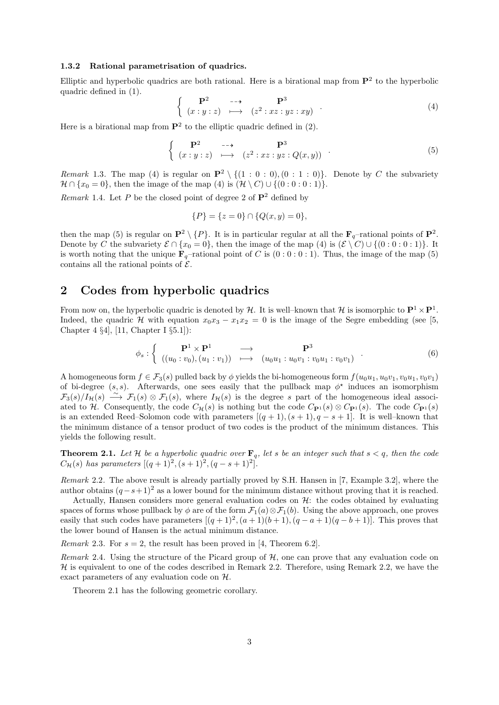#### 1.3.2 Rational parametrisation of quadrics.

Elliptic and hyperbolic quadrics are both rational. Here is a birational map from  $\mathbf{P}^2$  to the hyperbolic quadric defined in (1).

$$
\begin{cases}\n\mathbf{P}^2 & \longrightarrow & \mathbf{P}^3 \\
(x:y:z) & \longmapsto & (z^2:xz:yz:xy)\n\end{cases} \tag{4}
$$

Here is a birational map from  $\mathbf{P}^2$  to the elliptic quadric defined in (2).

$$
\begin{cases}\n\mathbf{P}^2 & \longrightarrow \\
(x:y:z) & \longmapsto\n\end{cases}\n\begin{cases}\n\mathbf{P}^3 \\
(z^2:xz:yz:Q(x,y)\n\end{cases}.
$$
\n(5)

Remark 1.3. The map (4) is regular on  $\mathbf{P}^2 \setminus \{(1 : 0 : 0), (0 : 1 : 0)\}.$  Denote by C the subvariety  $\mathcal{H} \cap \{x_0 = 0\}$ , then the image of the map (4) is  $(\mathcal{H} \setminus C) \cup \{(0:0:0:1)\}.$ 

Remark 1.4. Let P be the closed point of degree 2 of  $\mathbf{P}^2$  defined by

$$
\{P\} = \{z = 0\} \cap \{Q(x, y) = 0\},\
$$

then the map (5) is regular on  $\mathbf{P}^2 \setminus \{P\}$ . It is in particular regular at all the  $\mathbf{F}_q$ -rational points of  $\mathbf{P}^2$ . Denote by C the subvariety  $\mathcal{E} \cap \{x_0 = 0\}$ , then the image of the map (4) is  $(\mathcal{E} \setminus C) \cup \{(0 : 0 : 0 : 1)\}$ . It is worth noting that the unique  $\mathbf{F}_q$ -rational point of C is  $(0:0:0:1)$ . Thus, the image of the map (5) contains all the rational points of  $\mathcal{E}$ .

## 2 Codes from hyperbolic quadrics

From now on, the hyperbolic quadric is denoted by  $H$ . It is well-known that H is isomorphic to  $\mathbf{P}^1 \times \mathbf{P}^1$ . Indeed, the quadric H with equation  $x_0x_3 - x_1x_2 = 0$  is the image of the Segre embedding (see [5, Chapter 4 §4], [11, Chapter I §5.1]):

$$
\phi_s : \left\{ \begin{array}{ccc} \mathbf{P}^1 \times \mathbf{P}^1 & \longrightarrow & \mathbf{P}^3 \\ ((u_0 : v_0), (u_1 : v_1)) & \longmapsto & (u_0 u_1 : u_0 v_1 : v_0 u_1 : v_0 v_1) \end{array} \right. \tag{6}
$$

A homogeneous form  $f \in \mathcal{F}_3(s)$  pulled back by  $\phi$  yields the bi-homogeneous form  $f(u_0u_1, u_0v_1, v_0u_1, v_0v_1)$ of bi-degree  $(s, s)$ . Afterwards, one sees easily that the pullback map  $\phi^*$  induces an isomorphism  $\mathcal{F}_3(s)/I_{\mathcal{H}}(s) \longrightarrow \mathcal{F}_1(s) \otimes \mathcal{F}_1(s)$ , where  $I_{\mathcal{H}}(s)$  is the degree s part of the homogeneous ideal associated to H. Consequently, the code  $C_{\mathcal{H}}(s)$  is nothing but the code  $C_{\mathbf{P}^1}(s) \otimes C_{\mathbf{P}^1}(s)$ . The code  $C_{\mathbf{P}^1}(s)$ is an extended Reed–Solomon code with parameters  $[(q + 1), (s + 1), q - s + 1]$ . It is well–known that the minimum distance of a tensor product of two codes is the product of the minimum distances. This yields the following result.

**Theorem 2.1.** Let H be a hyperbolic quadric over  $\mathbf{F}_q$ , let s be an integer such that  $s < q$ , then the code  $C_{\mathcal{H}}(s)$  has parameters  $[(q+1)^2, (s+1)^2, (q-s+1)^2]$ .

Remark 2.2. The above result is already partially proved by S.H. Hansen in [7, Example 3.2], where the author obtains  $(q-s+1)^2$  as a lower bound for the minimum distance without proving that it is reached.

Actually, Hansen considers more general evaluation codes on  $\mathcal{H}$ : the codes obtained by evaluating spaces of forms whose pullback by φ are of the form  $\mathcal{F}_1(a) \otimes \mathcal{F}_1(b)$ . Using the above approach, one proves easily that such codes have parameters  $[(q+1)^2, (a+1)(b+1), (q-a+1)(q-b+1)]$ . This proves that the lower bound of Hansen is the actual minimum distance.

*Remark* 2.3. For  $s = 2$ , the result has been proved in [4, Theorem 6.2].

Remark 2.4. Using the structure of the Picard group of  $H$ , one can prove that any evaluation code on  $H$  is equivalent to one of the codes described in Remark 2.2. Therefore, using Remark 2.2, we have the exact parameters of any evaluation code on H.

Theorem 2.1 has the following geometric corollary.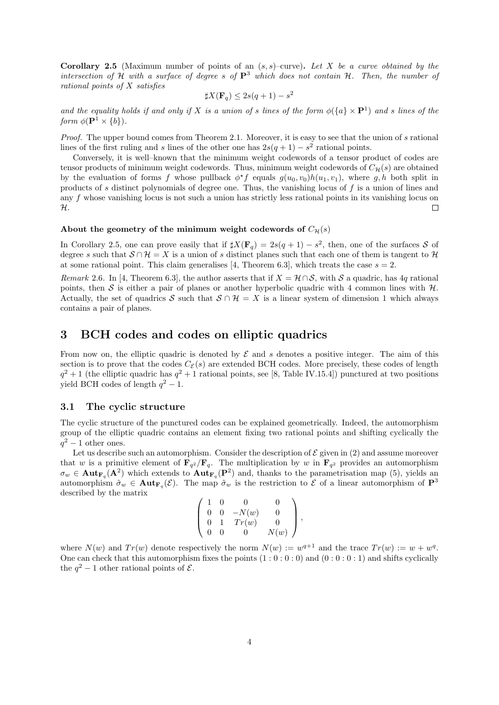**Corollary 2.5** (Maximum number of points of an  $(s, s)$ –curve). Let X be a curve obtained by the intersection of H with a surface of degree s of  $\mathbf{P}^3$  which does not contain H. Then, the number of rational points of X satisfies

$$
\sharp X(\mathbf{F}_q) \le 2s(q+1) - s^2
$$

and the equality holds if and only if X is a union of s lines of the form  $\phi({a} \times P^1)$  and s lines of the form  $\phi(\mathbf{P}^1 \times \{b\})$ .

Proof. The upper bound comes from Theorem 2.1. Moreover, it is easy to see that the union of s rational lines of the first ruling and s lines of the other one has  $2s(q + 1) - s^2$  rational points.

Conversely, it is well–known that the minimum weight codewords of a tensor product of codes are tensor products of minimum weight codewords. Thus, minimum weight codewords of  $C_{\mathcal{H}}(s)$  are obtained by the evaluation of forms f whose pullback  $\phi^* f$  equals  $g(u_0, v_0)h(u_1, v_1)$ , where g, h both split in products of s distinct polynomials of degree one. Thus, the vanishing locus of f is a union of lines and any f whose vanishing locus is not such a union has strictly less rational points in its vanishing locus on H.  $\Box$ 

## About the geometry of the minimum weight codewords of  $C_{\mathcal{H}}(s)$

In Corollary 2.5, one can prove easily that if  $\sharp X(\mathbf{F}_q) = 2s(q+1) - s^2$ , then, one of the surfaces S of degree s such that  $S \cap H = X$  is a union of s distinct planes such that each one of them is tangent to H at some rational point. This claim generalises [4, Theorem 6.3], which treats the case  $s = 2$ .

Remark 2.6. In [4, Theorem 6.3], the author asserts that if  $X = \mathcal{H} \cap \mathcal{S}$ , with S a quadric, has 4q rational points, then S is either a pair of planes or another hyperbolic quadric with 4 common lines with  $H$ . Actually, the set of quadrics S such that  $S \cap \mathcal{H} = X$  is a linear system of dimension 1 which always contains a pair of planes.

## 3 BCH codes and codes on elliptic quadrics

From now on, the elliptic quadric is denoted by  $\mathcal E$  and s denotes a positive integer. The aim of this section is to prove that the codes  $C_{\mathcal{E}}(s)$  are extended BCH codes. More precisely, these codes of length  $q^2+1$  (the elliptic quadric has  $q^2+1$  rational points, see [8, Table IV.15.4]) punctured at two positions yield BCH codes of length  $q^2 - 1$ .

## 3.1 The cyclic structure

The cyclic structure of the punctured codes can be explained geometrically. Indeed, the automorphism group of the elliptic quadric contains an element fixing two rational points and shifting cyclically the  $q^2-1$  other ones.

Let us describe such an automorphism. Consider the description of  $\mathcal E$  given in (2) and assume moreover that w is a primitive element of  $\mathbf{F}_{q^2}/\mathbf{F}_{q}$ . The multiplication by w in  $\mathbf{F}_{q^2}$  provides an automorphism  $\sigma_w \in \text{Aut}_{\mathbf{F}_q}(\mathbf{A}^2)$  which extends to  $\text{Aut}_{\mathbf{F}_q}(\mathbf{P}^2)$  and, thanks to the parametrisation map (5), yields an automorphism  $\tilde{\sigma}_w \in \text{Aut}_{\mathbf{F}_q}(\mathcal{E})$ . The map  $\tilde{\sigma}_w$  is the restriction to  $\mathcal E$  of a linear automorphism of  $\mathbf{P}^3$ described by the matrix

$$
\left(\begin{array}{cccc} 1 & 0 & 0 & 0 \\ 0 & 0 & -N(w) & 0 \\ 0 & 1 & Tr(w) & 0 \\ 0 & 0 & 0 & N(w) \end{array}\right),
$$

where  $N(w)$  and  $Tr(w)$  denote respectively the norm  $N(w) := w^{q+1}$  and the trace  $Tr(w) := w + w^q$ . One can check that this automorphism fixes the points  $(1:0:0:0)$  and  $(0:0:0:1)$  and shifts cyclically the  $q^2 - 1$  other rational points of  $\mathcal{E}$ .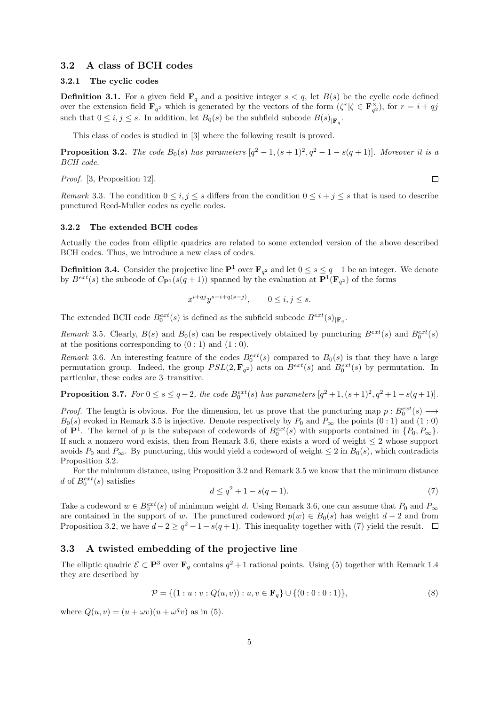### 3.2 A class of BCH codes

#### 3.2.1 The cyclic codes

**Definition 3.1.** For a given field  $\mathbf{F}_q$  and a positive integer  $s < q$ , let  $B(s)$  be the cyclic code defined over the extension field  $\mathbf{F}_{q^2}$  which is generated by the vectors of the form  $(\zeta^r | \zeta \in \mathbf{F}_{q^2}^{\times})$ , for  $r = i + qj$ such that  $0 \leq i, j \leq s$ . In addition, let  $B_0(s)$  be the subfield subcode  $B(s)_{\vert \mathbf{F}_q}$ .

This class of codes is studied in [3] where the following result is proved.

**Proposition 3.2.** The code  $B_0(s)$  has parameters  $[q^2 - 1, (s + 1)^2, q^2 - 1 - s(q + 1)]$ . Moreover it is a BCH code.

Proof. [3, Proposition 12].

 $\Box$ 

Remark 3.3. The condition  $0 \le i, j \le s$  differs from the condition  $0 \le i + j \le s$  that is used to describe punctured Reed-Muller codes as cyclic codes.

#### 3.2.2 The extended BCH codes

Actually the codes from elliptic quadrics are related to some extended version of the above described BCH codes. Thus, we introduce a new class of codes.

**Definition 3.4.** Consider the projective line  $\mathbf{P}^1$  over  $\mathbf{F}_{q^2}$  and let  $0 \leq s \leq q-1$  be an integer. We denote by  $B^{ext}(s)$  the subcode of  $C_{\mathbf{P}^1}(s(q+1))$  spanned by the evaluation at  $\mathbf{P}^1(\mathbf{F}_{q^2})$  of the forms

$$
x^{i+qj}y^{s-i+q(s-j)}, \qquad 0 \le i, j \le s.
$$

The extended BCH code  $B_0^{ext}(s)$  is defined as the subfield subcode  $B^{ext}(s)|_{\mathbf{F}_q}$ .

Remark 3.5. Clearly,  $B(s)$  and  $B_0(s)$  can be respectively obtained by puncturing  $B^{ext}(s)$  and  $B_0^{ext}(s)$ at the positions corresponding to  $(0:1)$  and  $(1:0)$ .

Remark 3.6. An interesting feature of the codes  $B_0^{ext}(s)$  compared to  $B_0(s)$  is that they have a large permutation group. Indeed, the group  $PSL(2, \mathbf{F}_{q^2})$  acts on  $B^{ext}(s)$  and  $B_0^{ext}(s)$  by permutation. In particular, these codes are 3–transitive.

**Proposition 3.7.** For  $0 \le s \le q-2$ , the code  $B_0^{ext}(s)$  has parameters  $[q^2+1, (s+1)^2, q^2+1-s(q+1)]$ .

*Proof.* The length is obvious. For the dimension, let us prove that the puncturing map  $p : B_0^{ext}(s) \longrightarrow$  $B_0(s)$  evoked in Remark 3.5 is injective. Denote respectively by  $P_0$  and  $P_\infty$  the points  $(0:1)$  and  $(1:0)$ of  $\mathbf{P}^1$ . The kernel of p is the subspace of codewords of  $B_0^{ext}(s)$  with supports contained in  $\{P_0, P_\infty\}$ . If such a nonzero word exists, then from Remark 3.6, there exists a word of weight  $\leq 2$  whose support avoids  $P_0$  and  $P_{\infty}$ . By puncturing, this would yield a codeword of weight  $\leq 2$  in  $B_0(s)$ , which contradicts Proposition 3.2.

For the minimum distance, using Proposition 3.2 and Remark 3.5 we know that the minimum distance d of  $B_0^{ext}(s)$  satisfies

$$
d \le q^2 + 1 - s(q+1). \tag{7}
$$

Take a codeword  $w \in B_0^{ext}(s)$  of minimum weight d. Using Remark 3.6, one can assume that  $P_0$  and  $P_{\infty}$ are contained in the support of w. The punctured codeword  $p(w) \in B_0(s)$  has weight  $d-2$  and from Proposition 3.2, we have  $d - 2 \ge q^2 - 1 - s(q + 1)$ . This inequality together with (7) yield the result.

## 3.3 A twisted embedding of the projective line

The elliptic quadric  $\mathcal{E} \subset \mathbf{P}^3$  over  $\mathbf{F}_q$  contains  $q^2 + 1$  rational points. Using (5) together with Remark 1.4 they are described by

$$
\mathcal{P} = \{ (1 : u : v : Q(u, v)) : u, v \in \mathbf{F}_q \} \cup \{ (0 : 0 : 0 : 1) \},
$$
\n(8)

where  $Q(u, v) = (u + \omega v)(u + \omega^q v)$  as in (5).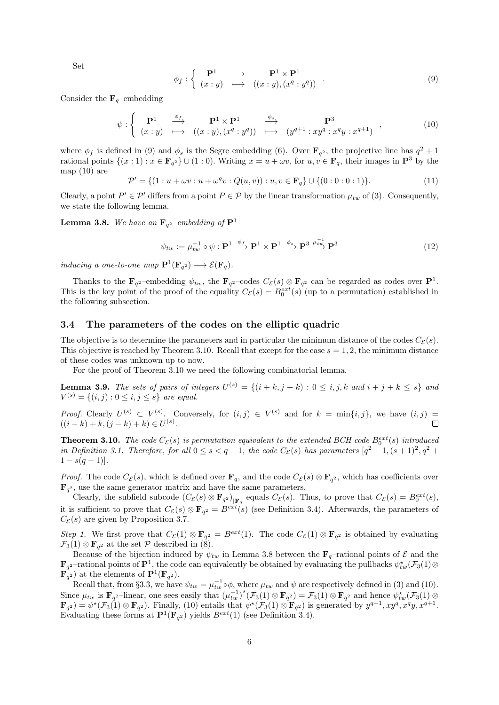Set

$$
\phi_f : \left\{ \begin{array}{ccc} \mathbf{P}^1 & \longrightarrow & \mathbf{P}^1 \times \mathbf{P}^1 \\ (x:y) & \longmapsto & ((x:y),(x^q:y^q)) \end{array} \right. \tag{9}
$$

Consider the  $\mathbf{F}_q$ –embedding

$$
\psi : \left\{ \begin{array}{ccc} \mathbf{P}^1 & \xrightarrow{\phi_f} & \mathbf{P}^1 \times \mathbf{P}^1 & \xrightarrow{\phi_s} & \mathbf{P}^3 \\ (x:y) & \longmapsto & ((x:y),(x^q:y^q)) & \longmapsto & (y^{q+1}:xy^q:x^qy:x^{q+1}) \end{array} \right. \tag{10}
$$

where  $\phi_f$  is defined in (9) and  $\phi_s$  is the Segre embedding (6). Over  $\mathbf{F}_{q^2}$ , the projective line has  $q^2 + 1$ rational points  $\{(x:1): x \in \mathbf{F}_{q^2}\} \cup (1:0)$ . Writing  $x = u + \omega v$ , for  $u, v \in \mathbf{F}_q$ , their images in  $\mathbf{P}^3$  by the map  $(10)$  are

$$
\mathcal{P}' = \{ (1:u + \omega v: u + \omega^q v: Q(u, v)) : u, v \in \mathbf{F}_q \} \cup \{ (0:0:0:1) \}. \tag{11}
$$

Clearly, a point  $P' \in \mathcal{P}'$  differs from a point  $P \in \mathcal{P}$  by the linear transformation  $\mu_{tw}$  of (3). Consequently, we state the following lemma.

**Lemma 3.8.** We have an  $\mathbf{F}_{q^2}$ -embedding of  $\mathbf{P}^1$ 

$$
\psi_{tw} := \mu_{tw}^{-1} \circ \psi : \mathbf{P}^1 \xrightarrow{\phi_f} \mathbf{P}^1 \times \mathbf{P}^1 \xrightarrow{\phi_s} \mathbf{P}^3 \xrightarrow{\mu_{tw}^{-1}} \mathbf{P}^3
$$
\n(12)

inducing a one-to-one map  $\mathbf{P}^1(\mathbf{F}_{q^2}) \longrightarrow \mathcal{E}(\mathbf{F}_q)$ .

Thanks to the  $\mathbf{F}_{q^2}$ -embedding  $\psi_{tw}$ , the  $\mathbf{F}_{q^2}$ -codes  $C_{\mathcal{E}}(s) \otimes \mathbf{F}_{q^2}$  can be regarded as codes over  $\mathbf{P}^1$ . This is the key point of the proof of the equality  $C_{\mathcal{E}}(s) = B_0^{ext}(s)$  (up to a permutation) established in the following subsection.

## 3.4 The parameters of the codes on the elliptic quadric

The objective is to determine the parameters and in particular the minimum distance of the codes  $C_{\mathcal{E}}(s)$ . This objective is reached by Theorem 3.10. Recall that except for the case  $s = 1, 2$ , the minimum distance of these codes was unknown up to now.

For the proof of Theorem 3.10 we need the following combinatorial lemma.

**Lemma 3.9.** The sets of pairs of integers  $U^{(s)} = \{(i + k, j + k) : 0 \le i, j, k \text{ and } i + j + k \le s\}$  and  $V^{(s)} = \{(i, j) : 0 \le i, j \le s\}$  are equal.

*Proof.* Clearly  $U^{(s)} \subset V^{(s)}$ . Conversely, for  $(i, j) \in V^{(s)}$  and for  $k = \min\{i, j\}$ , we have  $(i, j) =$  $((i-k)+k, (j-k)+k) \in U^{(s)}$ .

**Theorem 3.10.** The code  $C_{\mathcal{E}}(s)$  is permutation equivalent to the extended BCH code  $B_0^{ext}(s)$  introduced in Definition 3.1. Therefore, for all  $0 \le s < q-1$ , the code  $C_{\mathcal{E}}(s)$  has parameters  $[q^2+1,(s+1)^2,q^2+1]$  $1 - s(q+1)$ .

*Proof.* The code  $C_{\mathcal{E}}(s)$ , which is defined over  $\mathbf{F}_q$ , and the code  $C_{\mathcal{E}}(s) \otimes \mathbf{F}_{q^2}$ , which has coefficients over  $\mathbf{F}_{q^2}$ , use the same generator matrix and have the same parameters.

Clearly, the subfield subcode  $(C_{\mathcal{E}}(s) \otimes \mathbf{F}_{q^2})_{|\mathbf{F}_q}$  equals  $C_{\mathcal{E}}(s)$ . Thus, to prove that  $C_{\mathcal{E}}(s) = B_0^{ext}(s)$ , it is sufficient to prove that  $C_{\mathcal{E}}(s) \otimes \mathbf{F}_{q^2} = B^{ext}(s)$  (see Definition 3.4). Afterwards, the parameters of  $C_{\mathcal{E}}(s)$  are given by Proposition 3.7.

Step 1. We first prove that  $C_{\mathcal{E}}(1) \otimes \mathbf{F}_{q^2} = B^{ext}(1)$ . The code  $C_{\mathcal{E}}(1) \otimes \mathbf{F}_{q^2}$  is obtained by evaluating  $\mathcal{F}_3(1)\otimes \mathbf{F}_{q^2}$  at the set  $\mathcal P$  described in (8).

Because of the bijection induced by  $\psi_{tw}$  in Lemma 3.8 between the  $\mathbf{F}_q$ -rational points of  $\mathcal E$  and the  $\mathbf{F}_{q^2}$ -rational points of  $\mathbf{P}^1$ , the code can equivalently be obtained by evaluating the pullbacks  $\psi_{tw}^{\star}(\mathcal{F}_3(1) \otimes$  $\overline{\mathbf{F}}_q^{\mathfrak{q}_2}$  at the elements of  $\mathbf{P}^1(\mathbf{F}_{q^2})$ .

Recall that, from §3.3, we have  $\psi_{tw} = \mu_{tw}^{-1} \circ \phi$ , where  $\mu_{tw}$  and  $\psi$  are respectively defined in (3) and (10). Since  $\mu_{tw}$  is  $\mathbf{F}_{q^2}$ -linear, one sees easily that  $(\mu_{tw}^{-1})^*(\mathcal{F}_3(1) \otimes \mathbf{F}_{q^2}) = \mathcal{F}_3(1) \otimes \mathbf{F}_{q^2}$  and hence  $\psi_{tw}^*(\mathcal{F}_3(1) \otimes \mathcal{F}_3(1))$  $\mathbf{F}_{q^2}$  =  $\psi^*(\mathcal{F}_3(1) \otimes \mathbf{F}_{q^2})$ . Finally, (10) entails that  $\psi^*(\mathcal{F}_3(1) \otimes \mathbf{F}_{q^2})$  is generated by  $y^{q+1}$ ,  $xy^q$ ,  $x^qy$ ,  $x^{q+1}$ . Evaluating these forms at  $\mathbf{P}^1(\mathbf{F}_{q^2})$  yields  $B^{ext}(1)$  (see Definition 3.4).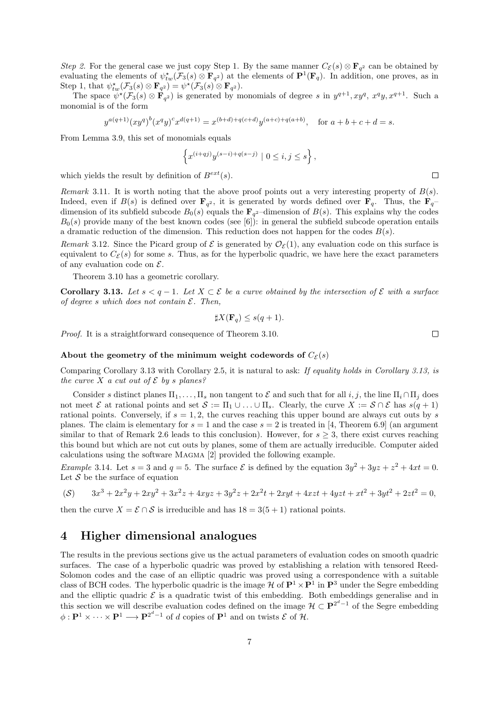Step 2. For the general case we just copy Step 1. By the same manner  $C_{\mathcal{E}}(s) \otimes \mathbf{F}_{q^2}$  can be obtained by evaluating the elements of  $\psi_{tw}^*(\mathcal{F}_3(s) \otimes \mathbf{F}_{q^2})$  at the elements of  $\mathbf{P}^1(\mathbf{F}_q)$ . In addition, one proves, as in Step 1, that  $\psi_{tw}^{\star}(\mathcal{F}_3(s) \otimes \mathbf{F}_{q^2}) = \psi^{\star}(\mathcal{F}_3(s) \otimes \mathbf{F}_{q^2}).$ 

The space  $\psi^*(\mathcal{F}_3(s) \otimes \mathbf{F}_{q^2})$  is generated by monomials of degree s in  $y^{q+1}$ ,  $xy^q$ ,  $x^q y$ ,  $x^{q+1}$ . Such a monomial is of the form

$$
y^{a(q+1)}(xy^q)^b(x^qy)^c x^{d(q+1)} = x^{(b+d)+q(c+d)}y^{(a+c)+q(a+b)}, \text{ for } a+b+c+d=s.
$$

From Lemma 3.9, this set of monomials equals

$$
\left\{ x^{(i+qj)}y^{(s-i)+q(s-j)} \mid 0 \le i, j \le s \right\},\,
$$

which yields the result by definition of  $B^{ext}(s)$ .

Remark 3.11. It is worth noting that the above proof points out a very interesting property of  $B(s)$ . Indeed, even if  $B(s)$  is defined over  $\mathbf{F}_{q^2}$ , it is generated by words defined over  $\mathbf{F}_{q}$ . Thus, the  $\mathbf{F}_{q^-}$ dimension of its subfield subcode  $B_0(s)$  equals the  $\mathbf{F}_{q^2}$ -dimension of  $B(s)$ . This explains why the codes  $B_0(s)$  provide many of the best known codes (see [6]): in general the subfield subcode operation entails a dramatic reduction of the dimension. This reduction does not happen for the codes  $B(s)$ .

Remark 3.12. Since the Picard group of  $\mathcal E$  is generated by  $\mathcal O_{\mathcal F}(1)$ , any evaluation code on this surface is equivalent to  $C_{\mathcal{E}}(s)$  for some s. Thus, as for the hyperbolic quadric, we have here the exact parameters of any evaluation code on  $\mathcal{E}$ .

Theorem 3.10 has a geometric corollary.

**Corollary 3.13.** Let  $s < q-1$ . Let  $X \subset \mathcal{E}$  be a curve obtained by the intersection of  $\mathcal{E}$  with a surface of degree s which does not contain  $\mathcal{E}$ . Then,

$$
\sharp X(\mathbf{F}_q) \le s(q+1).
$$

Proof. It is a straightforward consequence of Theorem 3.10.

#### About the geometry of the minimum weight codewords of  $C_{\mathcal{E}}(s)$

Comparing Corollary 3.13 with Corollary 2.5, it is natural to ask: If equality holds in Corollary 3.13, is the curve X a cut out of  $\mathcal E$  by s planes?

Consider s distinct planes  $\Pi_1, \ldots, \Pi_s$  non tangent to E and such that for all  $i, j$ , the line  $\Pi_i \cap \Pi_j$  does not meet  $\mathcal E$  at rational points and set  $\mathcal S := \Pi_1 \cup \ldots \cup \Pi_s$ . Clearly, the curve  $X := \mathcal S \cap \mathcal E$  has  $s(q + 1)$ rational points. Conversely, if  $s = 1, 2$ , the curves reaching this upper bound are always cut outs by s planes. The claim is elementary for  $s = 1$  and the case  $s = 2$  is treated in [4, Theorem 6.9] (an argument similar to that of Remark 2.6 leads to this conclusion). However, for  $s \geq 3$ , there exist curves reaching this bound but which are not cut outs by planes, some of them are actually irreducible. Computer aided calculations using the software Magma [2] provided the following example.

*Example* 3.14. Let  $s = 3$  and  $q = 5$ . The surface  $\mathcal{E}$  is defined by the equation  $3y^2 + 3yz + z^2 + 4xt = 0$ . Let  $S$  be the surface of equation

$$
(S) \qquad 3x^3 + 2x^2y + 2xy^2 + 3x^2z + 4xyz + 3y^2z + 2x^2t + 2xyt + 4xzt + 4yzt + xt^2 + 3yt^2 + 2zt^2 = 0,
$$

then the curve  $X = \mathcal{E} \cap \mathcal{S}$  is irreducible and has  $18 = 3(5 + 1)$  rational points.

## 4 Higher dimensional analogues

The results in the previous sections give us the actual parameters of evaluation codes on smooth quadric surfaces. The case of a hyperbolic quadric was proved by establishing a relation with tensored Reed-Solomon codes and the case of an elliptic quadric was proved using a correspondence with a suitable class of BCH codes. The hyperbolic quadric is the image  $H$  of  $\mathbf{P}^1 \times \mathbf{P}^1$  in  $\mathbf{P}^3$  under the Segre embedding and the elliptic quadric  $\mathcal E$  is a quadratic twist of this embedding. Both embeddings generalise and in this section we will describe evaluation codes defined on the image  $\mathcal{H} \subset \mathbf{P}^{2^d-1}$  of the Segre embedding  $\phi: \mathbf{P}^1 \times \cdots \times \mathbf{P}^1 \longrightarrow \mathbf{P}^{2^d-1}$  of d copies of  $\mathbf{P}^1$  and on twists  $\mathcal{E}$  of  $\mathcal{H}$ .

 $\Box$ 

 $\Box$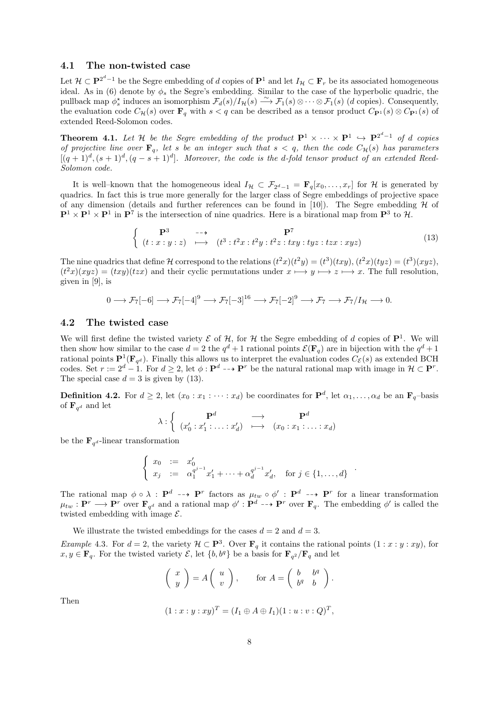## 4.1 The non-twisted case

Let  $\mathcal{H} \subset \mathbf{P}^{2^d-1}$  be the Segre embedding of d copies of  $\mathbf{P}^1$  and let  $I_{\mathcal{H}} \subset \mathbf{F}_r$  be its associated homogeneous ideal. As in (6) denote by  $\phi_s$  the Segre's embedding. Similar to the case of the hyperbolic quadric, the pullback map  $\phi_s^*$  induces an isomorphism  $\mathcal{F}_d(s)/I_{\mathcal{H}}(s) \longrightarrow \mathcal{F}_1(s) \otimes \cdots \otimes \mathcal{F}_1(s)$  (d copies). Consequently, the evaluation code  $C_{\mathcal{H}}(s)$  over  $\mathbf{F}_q$  with  $s < q$  can be described as a tensor product  $C_{\mathbf{P}^1}(s) \otimes C_{\mathbf{P}^1}(s)$  of extended Reed-Solomon codes.

**Theorem 4.1.** Let H be the Segre embedding of the product  $\mathbf{P}^1 \times \cdots \times \mathbf{P}^1 \hookrightarrow \mathbf{P}^{2^d-1}$  of d copies of projective line over  $\mathbf{F}_q$ , let s be an integer such that  $s < q$ , then the code  $C_{\mathcal{H}}(s)$  has parameters  $[(q+1)^d, (s+1)^d, (q-s+1)^d]$ . Moreover, the code is the d-fold tensor product of an extended Reed-Solomon code.

It is well–known that the homogeneous ideal  $I_{\mathcal{H}} \subset \mathcal{F}_{2^d-1} = \mathbf{F}_q[x_0, \ldots, x_r]$  for  $\mathcal{H}$  is generated by quadrics. In fact this is true more generally for the larger class of Segre embeddings of projective space of any dimension (details and further references can be found in [10]). The Segre embedding  $H$  of  $\mathbf{P}^1 \times \mathbf{P}^1 \times \mathbf{P}^1$  in  $\mathbf{P}^7$  is the intersection of nine quadrics. Here is a birational map from  $\mathbf{P}^3$  to  $\mathcal{H}$ .

$$
\begin{cases}\n\mathbf{P}^3 & \longrightarrow \\
(t:x:y:z) & \longmapsto\n\end{cases}\n\quad \begin{aligned}\n\mathbf{P}^7 \\
(t^3:t^2x:t^2y:t^2z:txy:tyz:tzx:xyz)\n\end{aligned}\n\tag{13}
$$

The nine quadrics that define H correspond to the relations  $(t^2x)(t^2y) = (t^3)(txy)$ ,  $(t^2x)(tyz) = (t^3)(xyz)$ ,  $(t^2x)(xyz) = (txy)(tzx)$  and their cyclic permutations under  $x \mapsto y \mapsto z \mapsto x$ . The full resolution, given in [9], is

$$
0 \longrightarrow \mathcal{F}_7[-6] \longrightarrow \mathcal{F}_7[-4]^9 \longrightarrow \mathcal{F}_7[-3]^{16} \longrightarrow \mathcal{F}_7[-2]^9 \longrightarrow \mathcal{F}_7 \longrightarrow \mathcal{F}_7/I_{\mathcal{H}} \longrightarrow 0.
$$

## 4.2 The twisted case

We will first define the twisted variety  $\mathcal E$  of  $\mathcal H$ , for  $\mathcal H$  the Segre embedding of d copies of  $\mathbf P^1$ . We will then show how similar to the case  $d=2$  the  $q^d+1$  rational points  $\mathcal{E}(\mathbf{F}_q)$  are in bijection with the  $q^d+1$ rational points  $\mathbf{P}^1(\mathbf{F}_{q^d})$ . Finally this allows us to interpret the evaluation codes  $C_{\mathcal{E}}(s)$  as extended BCH codes. Set  $r := 2^d - 1$ . For  $d \geq 2$ , let  $\phi : \mathbf{P}^d \dashrightarrow \mathbf{P}^r$  be the natural rational map with image in  $\mathcal{H} \subset \mathbf{P}^r$ . The special case  $d = 3$  is given by (13).

**Definition 4.2.** For  $d \geq 2$ , let  $(x_0 : x_1 : \cdots : x_d)$  be coordinates for  $\mathbf{P}^d$ , let  $\alpha_1, \ldots, \alpha_d$  be an  $\mathbf{F}_q$ -basis of  $\mathbf{F}_{q^d}$  and let

$$
\lambda : \left\{ \begin{array}{ccc} \mathbf{P}^d & \longrightarrow & \mathbf{P}^d \\ (x_0': x_1': \ldots : x_d') & \longmapsto & (x_0: x_1: \ldots : x_d) \end{array} \right.
$$

be the  $\mathbf{F}_{q^d}$ -linear transformation

$$
\begin{cases}\nx_0 := x'_0 \\
x_j := \alpha_1^{q^{j-1}} x'_1 + \dots + \alpha_d^{q^{j-1}} x'_d, \quad \text{for } j \in \{1, \dots, d\}\n\end{cases}
$$

The rational map  $\phi \circ \lambda : \mathbf{P}^d \dashrightarrow \mathbf{P}^r$  factors as  $\mu_{tw} \circ \phi' : \mathbf{P}^d \dashrightarrow \mathbf{P}^r$  for a linear transformation  $\mu_{tw}: \mathbf{P}^r \longrightarrow \mathbf{P}^r$  over  $\mathbf{F}_{q^d}$  and a rational map  $\phi': \mathbf{P}^d \dashrightarrow \mathbf{P}^r$  over  $\mathbf{F}_q$ . The embedding  $\phi'$  is called the twisted embedding with image  $\mathcal{E}$ .

We illustrate the twisted embeddings for the cases  $d = 2$  and  $d = 3$ .

Example 4.3. For  $d = 2$ , the variety  $\mathcal{H} \subset \mathbf{P}^3$ . Over  $\mathbf{F}_q$  it contains the rational points  $(1 : x : y : xy)$ , for  $x, y \in \mathbf{F}_q$ . For the twisted variety  $\mathcal{E}$ , let  $\{b, b^q\}$  be a basis for  $\mathbf{F}_{q^2}/\mathbf{F}_q$  and let

$$
\left(\begin{array}{c} x \\ y \end{array}\right) = A \left(\begin{array}{c} u \\ v \end{array}\right), \quad \text{for } A = \left(\begin{array}{cc} b & b^q \\ b^q & b \end{array}\right).
$$

Then

$$
(1: x: y: xy)^T = (I_1 \oplus A \oplus I_1)(1: u: v: Q)^T,
$$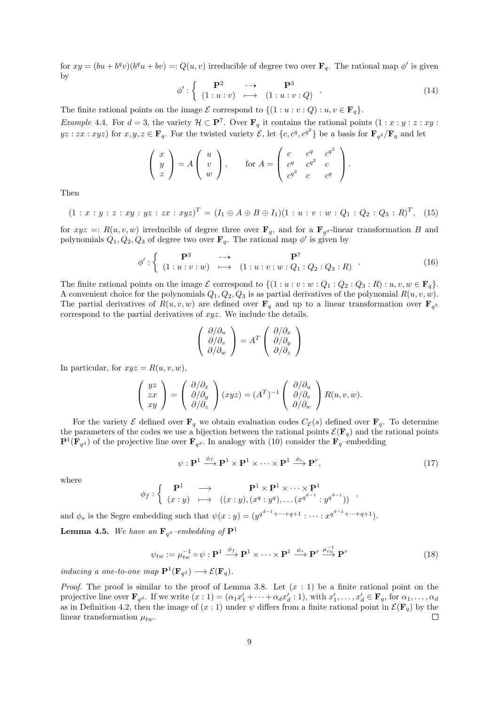for  $xy = (bu + b^q v)(b^q u + bv) =: Q(u, v)$  irreducible of degree two over  $\mathbf{F}_q$ . The rational map  $\phi'$  is given by

$$
\phi': \left\{ \begin{array}{ccc} \mathbf{P}^2 & \dashrightarrow & \mathbf{P}^3 \\ (1:u:v) & \longmapsto & (1:u:v:Q) \end{array} \right. \tag{14}
$$

The finite rational points on the image  $\mathcal E$  correspond to  $\{(1 : u : v : Q) : u, v \in \mathbf F_q\}.$ 

Example 4.4. For <sup>d</sup> = 3, the variety H ⊂ <sup>P</sup><sup>7</sup> . Over F<sup>q</sup> it contains the rational points (1 : x : y : z : xy :  $yz: zx: xyz$ ) for  $x, y, z \in \mathbf{F}_q$ . For the twisted variety  $\mathcal{E}$ , let  $\{c, c^q, c^{q^2}\}$  be a basis for  $\mathbf{F}_{q^3}/\mathbf{F}_q$  and let

$$
\begin{pmatrix} x \\ y \\ z \end{pmatrix} = A \begin{pmatrix} u \\ v \\ w \end{pmatrix}, \quad \text{for } A = \begin{pmatrix} c & c^q & c^{q^2} \\ c^q & c^{q^2} & c \\ c^{q^2} & c & c^q \end{pmatrix}.
$$

Then

$$
(1:x:y:z:xy:yz:zx:xyz)^{T}=(I_1\oplus A\oplus B\oplus I_1)(1:u:v:w:Q_1:Q_2:Q_3:R)^{T}, (15)
$$

for  $xyz =: R(u, v, w)$  irreducible of degree three over  $\mathbf{F}_q$ , and for a  $\mathbf{F}_{q^d}$ -linear transformation B and polynomials  $Q_1, Q_2, Q_3$  of degree two over  $\mathbf{F}_q$ . The rational map  $\phi'$  is given by

$$
\phi': \left\{ \begin{array}{ccc} \mathbf{P}^3 & \dashrightarrow & \mathbf{P}^7 \\ (1:u:v:w) & \longmapsto & (1:u:v:w:Q_1:Q_2:Q_3:R) \end{array} \right. \tag{16}
$$

The finite rational points on the image  $\mathcal E$  correspond to  $\{(1 : u : v : w : Q_1 : Q_2 : Q_3 : R) : u, v, w \in \mathbf F_q\}.$ A convenient choice for the polynomials  $Q_1, Q_2, Q_3$  is as partial derivatives of the polynomial  $R(u, v, w)$ . The partial derivatives of  $R(u, v, w)$  are defined over  $\mathbf{F}_q$  and up to a linear transformation over  $\mathbf{F}_q$ correspond to the partial derivatives of xyz. We include the details.

$$
\begin{pmatrix}\n\partial/\partial_u \\
\partial/\partial_v \\
\partial/\partial_w\n\end{pmatrix} = A^T \begin{pmatrix}\n\partial/\partial_x \\
\partial/\partial_y \\
\partial/\partial_z\n\end{pmatrix}
$$

In particular, for  $xyz = R(u, v, w)$ ,

$$
\begin{pmatrix} yz \\ zx \\ xy \end{pmatrix} = \begin{pmatrix} \partial/\partial_x \\ \partial/\partial_y \\ \partial/\partial_z \end{pmatrix} (xyz) = (A^T)^{-1} \begin{pmatrix} \partial/\partial_u \\ \partial/\partial_v \\ \partial/\partial_w \end{pmatrix} R(u, v, w).
$$

For the variety  $\mathcal E$  defined over  $\mathbf F_q$  we obtain evaluation codes  $C_{\mathcal E}(s)$  defined over  $\mathbf F_q$ . To determine the parameters of the codes we use a bijection between the rational points  $\mathcal{E}(\mathbf{F}_q)$  and the rational points  $\mathbf{P}^1(\mathbf{F}_{q^d})$  of the projective line over  $\mathbf{F}_{q^d}$ . In analogy with (10) consider the  $\mathbf{F}_{q}$ -embedding

$$
\psi : \mathbf{P}^1 \xrightarrow{\phi_f} \mathbf{P}^1 \times \mathbf{P}^1 \times \cdots \times \mathbf{P}^1 \xrightarrow{\phi_s} \mathbf{P}^r,
$$
\n(17)

where

$$
\phi_f : \left\{ \begin{array}{ccc} \mathbf{P}^1 & \longrightarrow & \mathbf{P}^1 \times \mathbf{P}^1 \times \cdots \times \mathbf{P}^1 \\ (x:y) & \longmapsto & ((x:y),(x^q:y^q),\dots(x^{q^{d-1}}:y^{q^{d-1}})) \end{array} \right.,
$$

and  $\phi_s$  is the Segre embedding such that  $\psi(x : y) = (y^{q^{d-1} + \cdots + q+1} : \cdots : x^{q^{d-1} + \cdots + q+1}).$ 

**Lemma 4.5.** We have an  $\mathbf{F}_{q^d}$ -embedding of  $\mathbf{P}^1$ 

$$
\psi_{tw} := \mu_{tw}^{-1} \circ \psi : \mathbf{P}^1 \xrightarrow{\phi_f} \mathbf{P}^1 \times \cdots \times \mathbf{P}^1 \xrightarrow{\phi_s} \mathbf{P}^r \xrightarrow{\mu_{tw}^{-1}} \mathbf{P}^r
$$
\n(18)

inducing a one-to-one map  $\mathbf{P}^1(\mathbf{F}_{q^d}) \longrightarrow \mathcal{E}(\mathbf{F}_q)$ .

*Proof.* The proof is similar to the proof of Lemma 3.8. Let  $(x : 1)$  be a finite rational point on the projective line over  $\mathbf{F}_{q^d}$ . If we write  $(x:1) = (\alpha_1 x'_1 + \cdots + \alpha_d x'_d : 1)$ , with  $x'_1, \ldots, x'_d \in \mathbf{F}_q$ , for  $\alpha_1, \ldots, \alpha_d$ as in Definition 4.2, then the image of  $(x:1)$  under  $\psi$  differs from a finite rational point in  $\mathcal{E}(\mathbf{F}_q)$  by the linear transformation  $\mu_{\text{trn}}$ . linear transformation  $\mu_{tw}$ .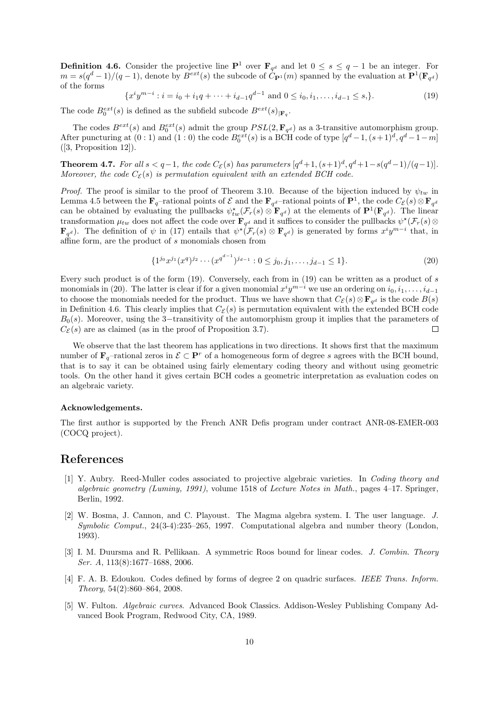**Definition 4.6.** Consider the projective line  $\mathbf{P}^1$  over  $\mathbf{F}_{q^d}$  and let  $0 \leq s \leq q-1$  be an integer. For  $m = s(q^d-1)/(q-1)$ , denote by  $B^{ext}(s)$  the subcode of  $\hat{C}_{\mathbf{P}^1}(m)$  spanned by the evaluation at  $\mathbf{P}^1(\mathbf{F}_{q^d})$ of the forms

$$
\{x^{i}y^{m-i} : i = i_0 + i_1q + \dots + i_{d-1}q^{d-1} \text{ and } 0 \leq i_0, i_1, \dots, i_{d-1} \leq s\}.
$$
\n(19)

The code  $B_0^{ext}(s)$  is defined as the subfield subcode  $B^{ext}(s)|_{\mathbf{F}_q}$ .

The codes  $B^{ext}(s)$  and  $B_0^{ext}(s)$  admit the group  $PSL(2, \mathbf{F}_{q^d})$  as a 3-transitive automorphism group. After puncturing at  $(0:1)$  and  $(1:0)$  the code  $B_0^{ext}(s)$  is a BCH code of type  $[q^d-1,(s+1)^d,q^d-1-m]$ ([3, Proposition 12]).

**Theorem 4.7.** For all  $s < q-1$ , the code  $C_{\mathcal{E}}(s)$  has parameters  $[q^d+1, (s+1)^d, q^d+1-s(q^d-1)/(q-1)]$ . Moreover, the code  $C_{\mathcal{E}}(s)$  is permutation equivalent with an extended BCH code.

*Proof.* The proof is similar to the proof of Theorem 3.10. Because of the bijection induced by  $\psi_{tw}$  in Lemma 4.5 between the  $\mathbf{F}_q$ -rational points of  $\mathcal{E}$  and the  $\mathbf{F}_{q^d}$ -rational points of  $\mathbf{P}^1$ , the code  $C_{\mathcal{E}}(s) \otimes \mathbf{F}_{q^d}$ can be obtained by evaluating the pullbacks  $\psi_{tw}^*(\mathcal{F}_r(s) \otimes \mathbf{F}_{q^d})$  at the elements of  $\mathbf{P}^1(\mathbf{F}_{q^d})$ . The linear transformation  $\mu_{tw}$  does not affect the code over  $\mathbf{F}_{q^d}$  and it suffices to consider the pullbacks  $\psi^*(\mathcal{F}_r(s) \otimes$  $\mathbf{F}_{q^d}$ ). The definition of  $\psi$  in (17) entails that  $\psi^{\star}(\mathcal{F}_r(s) \otimes \mathbf{F}_{q^d})$  is generated by forms  $x^i y^{m-i}$  that, in affine form, are the product of s monomials chosen from

$$
\{1^{j_0}x^{j_1}(x^q)^{j_2}\cdots (x^{q^{d-1}})^{j_{d-1}} : 0 \le j_0, j_1, \ldots, j_{d-1} \le 1\}.
$$
\n(20)

Every such product is of the form (19). Conversely, each from in (19) can be written as a product of s monomials in (20). The latter is clear if for a given monomial  $x^i y^{m-i}$  we use an ordering on  $i_0, i_1, \ldots, i_{d-1}$ to choose the monomials needed for the product. Thus we have shown that  $C_{\mathcal{E}}(s) \otimes \mathbf{F}_{q^d}$  is the code  $B(s)$ in Definition 4.6. This clearly implies that  $C_{\mathcal{E}}(s)$  is permutation equivalent with the extended BCH code  $B_0(s)$ . Moreover, using the 3−transitivity of the automorphism group it implies that the parameters of  $C_{\mathcal{F}}(s)$  are as claimed (as in the proof of Proposition 3.7).  $C_{\mathcal{E}}(s)$  are as claimed (as in the proof of Proposition 3.7).

We observe that the last theorem has applications in two directions. It shows first that the maximum number of  $\mathbf{F}_q$ -rational zeros in  $\mathcal{E} \subset \mathbf{P}^r$  of a homogeneous form of degree s agrees with the BCH bound, that is to say it can be obtained using fairly elementary coding theory and without using geometric tools. On the other hand it gives certain BCH codes a geometric interpretation as evaluation codes on an algebraic variety.

#### Acknowledgements.

The first author is supported by the French ANR Defis program under contract ANR-08-EMER-003 (COCQ project).

## References

- [1] Y. Aubry. Reed-Muller codes associated to projective algebraic varieties. In Coding theory and algebraic geometry (Luminy, 1991), volume 1518 of Lecture Notes in Math., pages  $4-17$ . Springer, Berlin, 1992.
- [2] W. Bosma, J. Cannon, and C. Playoust. The Magma algebra system. I. The user language. J. Symbolic Comput., 24(3-4):235–265, 1997. Computational algebra and number theory (London, 1993).
- [3] I. M. Duursma and R. Pellikaan. A symmetric Roos bound for linear codes. J. Combin. Theory Ser. A, 113(8):1677–1688, 2006.
- [4] F. A. B. Edoukou. Codes defined by forms of degree 2 on quadric surfaces. IEEE Trans. Inform. Theory, 54(2):860–864, 2008.
- [5] W. Fulton. Algebraic curves. Advanced Book Classics. Addison-Wesley Publishing Company Advanced Book Program, Redwood City, CA, 1989.